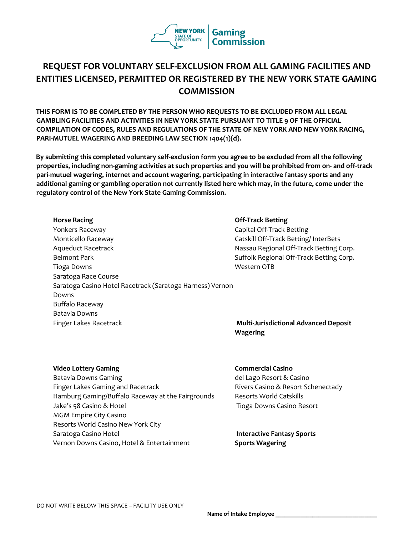

## **REQUEST FOR VOLUNTARY SELF-EXCLUSION FROM ALL GAMING FACILITIES AND ENTITIES LICENSED, PERMITTED OR REGISTERED BY THE NEW YORK STATE GAMING COMMISSION**

**THIS FORM IS TO BE COMPLETED BY THE PERSON WHO REQUESTS TO BE EXCLUDED FROM ALL LEGAL GAMBLING FACILITIES AND ACTIVITIES IN NEW YORK STATE PURSUANT TO TITLE 9 OF THE OFFICIAL COMPILATION OF CODES, RULES AND REGULATIONS OF THE STATE OF NEW YORK AND NEW YORK RACING, PARI-MUTUEL WAGERING AND BREEDING LAW SECTION 1404(1)(d).**

**By submitting this completed voluntary self-exclusion form you agree to be excluded from all the following properties, including non-gaming activities at such properties and you will be prohibited from on- and off-track pari-mutuel wagering, internet and account wagering, participating in interactive fantasy sports and any additional gaming or gambling operation not currently listed here which may, in the future, come under the regulatory control of the New York State Gaming Commission.** 

**Horse Racing Community Community Community Community Community Community Community Community Community Community Community Community Community Community Community Community Community Community Community Community Communit** Yonkers Raceway **Capital Off-Track Betting** Monticello Raceway **Catskill Off-Track Betting/ InterBets** Catskill Off-Track Betting/ InterBets Aqueduct Racetrack **Nassau Regional Off-Track Betting Corp.** Nassau Regional Off-Track Betting Corp. Belmont Park **Suffolk Regional Off-Track Betting Corp.** Suffolk Regional Off-Track Betting Corp. Tioga Downs **Western OTB** Saratoga Race Course Saratoga Casino Hotel Racetrack (Saratoga Harness) Vernon Downs Buffalo Raceway Batavia Downs Finger Lakes Racetrack **Multi-Jurisdictional Advanced Deposit** 

# **Wagering**

#### **Video Lottery Gaming Commercial Casino Commercial Casino**

Batavia Downs Gaming del Lago Resort & Casino Finger Lakes Gaming and Racetrack Rivers Casino & Resort Schenectady Hamburg Gaming/Buffalo Raceway at the Fairgrounds Resorts World Catskills Jake's 58 Casino & Hotel MGM Empire City Casino Resorts World Casino New York City Saratoga Casino Hotel Vernon Downs Casino, Hotel & Entertainment

Tioga Downs Casino Resort

**Interactive Fantasy Sports Sports Wagering**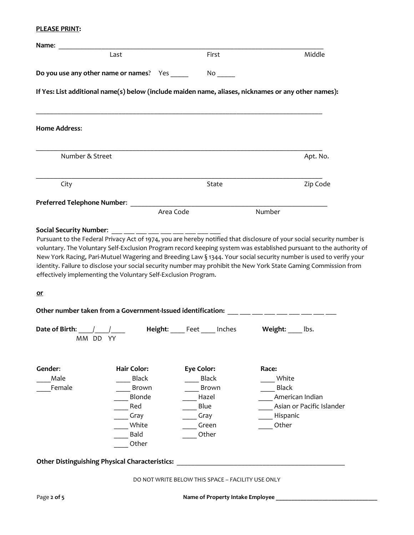#### **PLEASE PRINT:**

|                                                                             | Last                                                                                                         | First                                                                                        | Middle                                                                                                                                                                                                            |
|-----------------------------------------------------------------------------|--------------------------------------------------------------------------------------------------------------|----------------------------------------------------------------------------------------------|-------------------------------------------------------------------------------------------------------------------------------------------------------------------------------------------------------------------|
| Do you use any other name or names? Yes _____                               |                                                                                                              | $No$ <sub>______</sub>                                                                       |                                                                                                                                                                                                                   |
|                                                                             |                                                                                                              |                                                                                              | If Yes: List additional name(s) below (include maiden name, aliases, nicknames or any other names):                                                                                                               |
| <b>Home Address:</b>                                                        |                                                                                                              |                                                                                              |                                                                                                                                                                                                                   |
| Number & Street                                                             |                                                                                                              |                                                                                              | Apt. No.                                                                                                                                                                                                          |
| City                                                                        |                                                                                                              | State                                                                                        | Zip Code                                                                                                                                                                                                          |
| Preferred Telephone Number:                                                 |                                                                                                              |                                                                                              |                                                                                                                                                                                                                   |
|                                                                             |                                                                                                              | Area Code                                                                                    | Number                                                                                                                                                                                                            |
| effectively implementing the Voluntary Self-Exclusion Program.<br><u>or</u> |                                                                                                              |                                                                                              | identity. Failure to disclose your social security number may prohibit the New York State Gaming Commission from<br>Other number taken from a Government-Issued identification: ___ __ __ __ __ __ __ __ __ __ __ |
|                                                                             |                                                                                                              |                                                                                              |                                                                                                                                                                                                                   |
|                                                                             |                                                                                                              | Height: Feet Inches Weight: Ibs.                                                             |                                                                                                                                                                                                                   |
| Date of Birth: /<br>MM DD YY<br>Gender:<br>Male<br>Female                   | <b>Hair Color:</b><br><b>Black</b><br><b>Brown</b><br>Blonde<br>Red<br>Gray<br>White<br><b>Bald</b><br>Other | <b>Eye Color:</b><br><b>Black</b><br><b>Brown</b><br>Hazel<br>Blue<br>Gray<br>Green<br>Other | Race:<br>White<br><b>Black</b><br>American Indian<br>Asian or Pacific Islander<br>Hispanic<br>Other                                                                                                               |
| <b>Other Distinguishing Physical Characteristics:</b>                       |                                                                                                              |                                                                                              |                                                                                                                                                                                                                   |
|                                                                             |                                                                                                              | DO NOT WRITE BELOW THIS SPACE - FACILITY USE ONLY                                            |                                                                                                                                                                                                                   |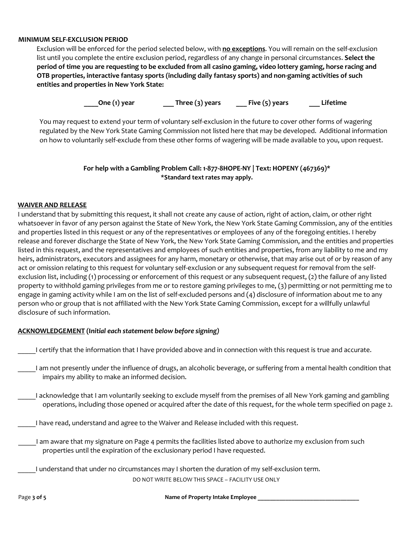#### **MINIMUM SELF-EXCLUSION PERIOD**

Exclusion will be enforced for the period selected below, with **no exceptions**. You will remain on the self-exclusion list until you complete the entire exclusion period, regardless of any change in personal circumstances. **Select the period of time you are requesting to be excluded from all casino gaming, video lottery gaming, horse racing and OTB properties, interactive fantasy sports (including daily fantasy sports) and non-gaming activities of such entities and properties in New York State:** 

**\_\_\_\_One (1) year \_\_\_ Three (3) years \_\_\_ Five (5) years \_\_\_ Lifetime**

You may request to extend your term of voluntary self-exclusion in the future to cover other forms of wagering regulated by the New York State Gaming Commission not listed here that may be developed. Additional information on how to voluntarily self-exclude from these other forms of wagering will be made available to you, upon request.

### **For help with a Gambling Problem Call: 1-877-8HOPE-NY | Text: HOPENY (467369)\* \*Standard text rates may apply.**

#### **WAIVER AND RELEASE**

I understand that by submitting this request, it shall not create any cause of action, right of action, claim, or other right whatsoever in favor of any person against the State of New York, the New York State Gaming Commission, any of the entities and properties listed in this request or any of the representatives or employees of any of the foregoing entities. I hereby release and forever discharge the State of New York, the New York State Gaming Commission, and the entities and properties listed in this request, and the representatives and employees of such entities and properties, from any liability to me and my heirs, administrators, executors and assignees for any harm, monetary or otherwise, that may arise out of or by reason of any act or omission relating to this request for voluntary self-exclusion or any subsequent request for removal from the selfexclusion list, including (1) processing or enforcement of this request or any subsequent request, (2) the failure of any listed property to withhold gaming privileges from me or to restore gaming privileges to me, (3) permitting or not permitting me to engage in gaming activity while I am on the list of self-excluded persons and (4) disclosure of information about me to any person who or group that is not affiliated with the New York State Gaming Commission, except for a willfully unlawful disclosure of such information.

### **ACKNOWLEDGEMENT (I***nitial each statement below before signing)*

- \_\_\_\_\_I certify that the information that I have provided above and in connection with this request is true and accurate.
- I am not presently under the influence of drugs, an alcoholic beverage, or suffering from a mental health condition that impairs my ability to make an informed decision.
- \_\_\_\_\_I acknowledge that I am voluntarily seeking to exclude myself from the premises of all New York gaming and gambling operations, including those opened or acquired after the date of this request, for the whole term specified on page 2.
- I have read, understand and agree to the Waiver and Release included with this request.
	- I am aware that my signature on Page 4 permits the facilities listed above to authorize my exclusion from such properties until the expiration of the exclusionary period I have requested.
- DO NOT WRITE BELOW THIS SPACE FACILITY USE ONLY I understand that under no circumstances may I shorten the duration of my self-exclusion term.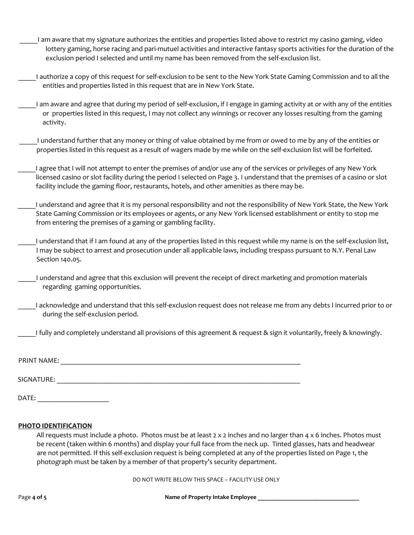- \_\_\_\_\_I am aware that my signature authorizes the entities and properties listed above to restrict my casino gaming, video lottery gaming, horse racing and pari-mutuel activities and interactive fantasy sports activities for the duration of the exclusion period I selected and until my name has been removed from the self-exclusion list.
- \_\_\_\_\_I authorize a copy of this request for self-exclusion to be sent to the New York State Gaming Commission and to all the entities and properties listed in this request that are in New York State.
- \_\_\_\_\_I am aware and agree that during my period of self-exclusion, if I engage in gaming activity at or with any of the entities or properties listed in this request, I may not collect any winnings or recover any losses resulting from the gaming activity.
- \_\_\_\_\_I understand further that any money or thing of value obtained by me from or owed to me by any of the entities or properties listed in this request as a result of wagers made by me while on the self-exclusion list will be forfeited.
- I agree that I will not attempt to enter the premises of and/or use any of the services or privileges of any New York licensed casino or slot facility during the period I selected on Page 3. I understand that the premises of a casino or slot facility include the gaming floor, restaurants, hotels, and other amenities as there may be.
- \_\_\_\_\_I understand and agree that it is my personal responsibility and not the responsibility of New York State, the New York State Gaming Commission or its employees or agents, or any New York licensed establishment or entity to stop me from entering the premises of a gaming or gambling facility.
- I understand that if I am found at any of the properties listed in this request while my name is on the self-exclusion list, I may be subject to arrest and prosecution under all applicable laws, including trespass pursuant to N.Y. Penal Law Section 140.05.
- \_\_\_\_\_I understand and agree that this exclusion will prevent the receipt of direct marketing and promotion materials regarding gaming opportunities.
- I acknowledge and understand that this self-exclusion request does not release me from any debts I incurred prior to or during the self-exclusion period.
- \_\_\_\_\_I fully and completely understand all provisions of this agreement & request & sign it voluntarily, freely & knowingly.

| <b>PRINT NAME:</b> |  |
|--------------------|--|
| SIGNATURE:         |  |
| DATE:              |  |

#### **PHOTO IDENTIFICATION**

All requests must include a photo. Photos must be at least  $2 \times 2$  inches and no larger than  $4 \times 6$  inches. Photos must be recent (taken within 6 months) and display your full face from the neck up. Tinted glasses, hats and headwear are not permitted. If this self-exclusion request is being completed at any of the properties listed on Page 1, the photograph must be taken by a member of that property's security department.

DO NOT WRITE BELOW THIS SPACE – FACILITY USE ONLY